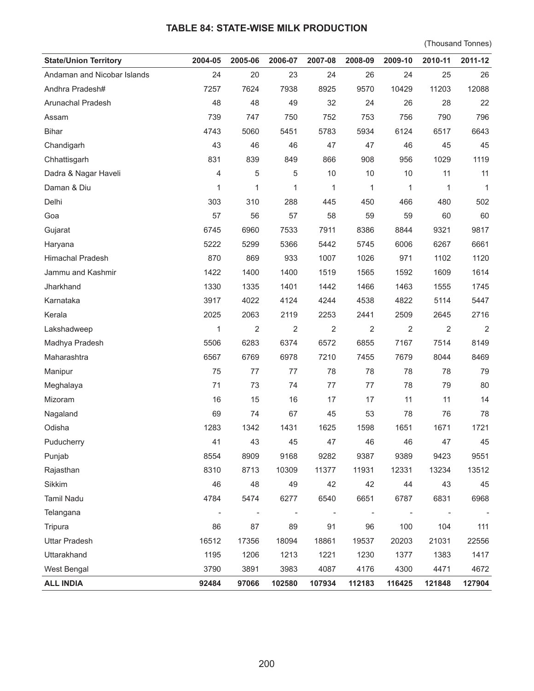## **TABLE 84: STATE-WISE MILK PRODUCTION**

(Thousand Tonnes)

| <b>State/Union Territory</b> | 2004-05                  | 2005-06                      | 2006-07                  | 2007-08        | 2008-09 | 2009-10        | 2010-11                      | 2011-12        |
|------------------------------|--------------------------|------------------------------|--------------------------|----------------|---------|----------------|------------------------------|----------------|
| Andaman and Nicobar Islands  | 24                       | 20                           | 23                       | 24             | 26      | 24             | 25                           | 26             |
| Andhra Pradesh#              | 7257                     | 7624                         | 7938                     | 8925           | 9570    | 10429          | 11203                        | 12088          |
| Arunachal Pradesh            | 48                       | 48                           | 49                       | 32             | 24      | 26             | 28                           | 22             |
| Assam                        | 739                      | 747                          | 750                      | 752            | 753     | 756            | 790                          | 796            |
| <b>Bihar</b>                 | 4743                     | 5060                         | 5451                     | 5783           | 5934    | 6124           | 6517                         | 6643           |
| Chandigarh                   | 43                       | 46                           | 46                       | 47             | 47      | 46             | 45                           | 45             |
| Chhattisgarh                 | 831                      | 839                          | 849                      | 866            | 908     | 956            | 1029                         | 1119           |
| Dadra & Nagar Haveli         | 4                        | 5                            | 5                        | $10$           | 10      | $10$           | 11                           | 11             |
| Daman & Diu                  | 1                        | 1                            | 1                        | 1              | 1       | 1              | 1                            | $\mathbf{1}$   |
| Delhi                        | 303                      | 310                          | 288                      | 445            | 450     | 466            | 480                          | 502            |
| Goa                          | 57                       | 56                           | 57                       | 58             | 59      | 59             | 60                           | 60             |
| Gujarat                      | 6745                     | 6960                         | 7533                     | 7911           | 8386    | 8844           | 9321                         | 9817           |
| Haryana                      | 5222                     | 5299                         | 5366                     | 5442           | 5745    | 6006           | 6267                         | 6661           |
| <b>Himachal Pradesh</b>      | 870                      | 869                          | 933                      | 1007           | 1026    | 971            | 1102                         | 1120           |
| Jammu and Kashmir            | 1422                     | 1400                         | 1400                     | 1519           | 1565    | 1592           | 1609                         | 1614           |
| Jharkhand                    | 1330                     | 1335                         | 1401                     | 1442           | 1466    | 1463           | 1555                         | 1745           |
| Karnataka                    | 3917                     | 4022                         | 4124                     | 4244           | 4538    | 4822           | 5114                         | 5447           |
| Kerala                       | 2025                     | 2063                         | 2119                     | 2253           | 2441    | 2509           | 2645                         | 2716           |
| Lakshadweep                  | 1                        | $\overline{2}$               | 2                        | 2              | 2       | $\overline{2}$ | $\overline{2}$               | $\overline{2}$ |
| Madhya Pradesh               | 5506                     | 6283                         | 6374                     | 6572           | 6855    | 7167           | 7514                         | 8149           |
| Maharashtra                  | 6567                     | 6769                         | 6978                     | 7210           | 7455    | 7679           | 8044                         | 8469           |
| Manipur                      | 75                       | 77                           | 77                       | 78             | 78      | 78             | 78                           | 79             |
| Meghalaya                    | 71                       | 73                           | 74                       | 77             | 77      | 78             | 79                           | 80             |
| Mizoram                      | 16                       | 15                           | 16                       | 17             | 17      | 11             | 11                           | 14             |
| Nagaland                     | 69                       | 74                           | 67                       | 45             | 53      | 78             | 76                           | 78             |
| Odisha                       | 1283                     | 1342                         | 1431                     | 1625           | 1598    | 1651           | 1671                         | 1721           |
| Puducherry                   | 41                       | 43                           | 45                       | 47             | 46      | 46             | 47                           | 45             |
| Punjab                       | 8554                     | 8909                         | 9168                     | 9282           | 9387    | 9389           | 9423                         | 9551           |
| Rajasthan                    | 8310                     | 8713                         | 10309                    | 11377          | 11931   | 12331          | 13234                        | 13512          |
| Sikkim                       | 46                       | 48                           | 49                       | 42             | 42      | 44             | 43                           | 45             |
| <b>Tamil Nadu</b>            | 4784                     | 5474                         | 6277                     | 6540           | 6651    | 6787           | 6831                         | 6968           |
| Telangana                    | $\overline{\phantom{a}}$ | $\qquad \qquad \blacksquare$ | $\overline{\phantom{a}}$ | $\overline{a}$ |         | L,             | $\qquad \qquad \blacksquare$ |                |
| Tripura                      | 86                       | 87                           | 89                       | 91             | 96      | 100            | 104                          | 111            |
| <b>Uttar Pradesh</b>         | 16512                    | 17356                        | 18094                    | 18861          | 19537   | 20203          | 21031                        | 22556          |
| Uttarakhand                  | 1195                     | 1206                         | 1213                     | 1221           | 1230    | 1377           | 1383                         | 1417           |
| West Bengal                  | 3790                     | 3891                         | 3983                     | 4087           | 4176    | 4300           | 4471                         | 4672           |
| <b>ALL INDIA</b>             | 92484                    | 97066                        | 102580                   | 107934         | 112183  | 116425         | 121848                       | 127904         |